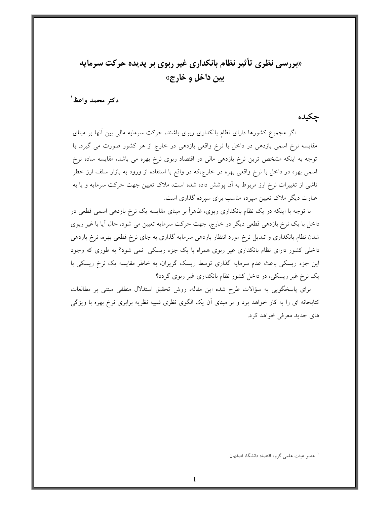# «بررسی نظری تأثیر نظام بانکداری غیر ربوی بر پدیده حرکت سرمایه بين داخل و خارج»

دكتر محمد واعظ ٰ

حكىدە

اگر مجموع کشورها دارای نظام بانکداری ربوی باشند، حرکت سرمایه مالی بین آنها بر مبنای مقایسه نرخ اسمی بازدهی در داخل با نرخ واقعی بازدهی در خارج از هر کشور صورت می گیرد. با توجه به اینکه مشخص ترین نرخ بازدهی مالی در اقتصاد ربوی نرخ بهره می باشد، مقایسه ساده نرخ اسمی بهره در داخل با نرخ واقعی بهره در خارج،که در واقع با استفاده از ورود به بازار سلف ارز خطر ناشی از تغییرات نرخ ارز مربوط به آن پوشش داده شده است، ملاک تعیین جهت حرکت سرمایه و یا به عبارت دیگر ملاک تعیین سپرده مناسب برای سپرده گذاری است.

با توجه با اینکه در یک نظام بانکداری ربوی، ظاهراً بر مبنای مقایسه یک نرخ بازدهی اسمی قطعی در داخل با یک نرخ بازدهی قطعی دیگر در خارج، جهت حرکت سرمایه تعیین می شود، حال آیا با غیر ربوی شدن نظام بانکداری و تبدیل نرخ مورد انتظار بازدهی سرمایه گذاری به جای نرخ قطعی بهره، نرخ بازدهی داخلی کشور دارای نظام بانکداری غیر ربوی همراه با یک جزء ریسکی نمی شود؟ به طوری که وجود این جزء ریسکی باعث عدم سرمایه گذاری توسط ریسک گریزان، به خاطر مقایسه یک نرخ ریسکی با یک نرخ غیر ریسکی، در داخل کشور نظام بانکداری غیر ربوی گردد؟

برای پاسخگویی به سؤالات طرح شده این مقاله، روش تحقیق استدلال منطقی مبتنی بر مطالعات کتابخانه ای را به کار خواهد برد و بر مبنای آن یک الگوی نظری شبیه نظریه برابری نرخ بهره با ویژگی هاي جديد معرفي خواهد كرد.

<sup>&#</sup>x27;حضو هيئت علمي گروه اقتصاد دانشگاه اصفهان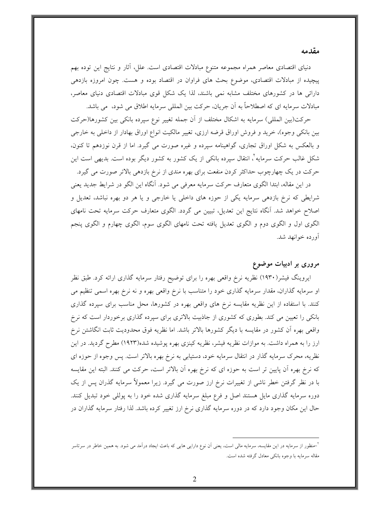#### مقدمه

دنیای اقتصادی معاصر همراه مجموعه متنوع مبادلات اقتصادی است. علل، أثار و نتایج این توده بهم پیچیده از مبادلات اقتصادی، موضوع بحث های فراوان در اقتصاد بوده و هست. چون امروزه بازدهی دارائی ها در کشورهای مختلف مشابه نمی باشند، لذا یک شکل قوی مبادلات اقتصادی دنیای معاصر، مبادلات سرمايه اي كه اصطلاحاً به آن جريان، حركت بين المللي سرمايه اطلاق مي شود، ً مي باشد.

حركت(بين المللي) سرمايه به اشكال مختلف از آن جمله تغيير نوع سپرده بانكي بين كشورها(حركت بین بانکی وجوه)، خرید و فروش اوراق قرضه ارزی، تغییر مالکیت انواع اوراق بهادار از داخلی به خارجی و بالعکس به شکل اوراق تجاری، گواهینامه سپرده و غیره صورت می گیرد. اما از قرن نوزدهم تا کنون، شکل غالب حرکت سرمایه ْ، انتقال سیرده بانکی از یک کشور به کشور دیگر بوده است. بدیهی است این حرکت در یک چهارچوب حداکثر کردن منفعت برای بهره مندی از نرخ بازدهی بالاتر صورت می گیرد.

در این مقاله، ابتدا الگوی متعارف حرکت سرمایه معرفی می شود. آنگاه این الگو در شرایط جدید یعنی شرایطی که نرخ بازدهی سرمایه یکی از حوزه های داخلی یا خارجی و یا هر دو بهره نباشد، تعدیل و اصلاح خواهد شد. آنگاه نتایج این تعدیل، تبیین می گردد. الگوی متعارف حرکت سرمایه تحت نامهای الگوی اول و الگوی دوم و الگوی تعدیل یافته تحت نامهای الگوی سوم، الگوی چهارم و الگوی پنجم آورده خوانهد شد.

### مروری بر ادبیات موضوع

ایروینگ فیشر(۱۹۳۰) نظریه نرخ واقعی بهره را برای توضیح رفتار سرمایه گذاری ارائه کرد. طبق نظر او سرمایه گذاران، مقدار سرمایه گذاری خود را متناسب با نرخ واقعی بهره و نه نرخ بهره اسمی تنظیم می کنند. با استفاده از این نظریه مقایسه نرخ های واقعی بهره در کشورها، محل مناسب برای سپرده گذاری بانکی را تعیین می کند. بطوری که کشوری از جاذبیت بالاتری برای سپرده گذاری برخوردار است که نرخ واقعی بهره آن کشور در مقایسه با دیگر کشورها بالاتر باشد. اما نظریه فوق محدودیت ثابت انگاشتن نرخ ارز را به همراه داشت. به موازات نظریه فیشر، نظریه کینزی بهره پوشیده شده(۱۹۲۳) مطرح گردید. در این نظریه، محرک سرمایه گذار در انتقال سرمایه خود، دستیابی به نرخ بهره بالاتر است. پس وجوه از حوزه ای که نرخ بهره آن پایین تر است به حوزه ای که نرخ بهره آن بالاتر است، حرکت می کنند. البته این مقایسه با در نظر گرفتن خطر ناشی از تغییرات نرخ ارز صورت می گیرد. زیرا معمولاً سرمایه گذران پس از یک دوره سرمایه گذاری مایل هستند اصل و فرع مبلغ سرمایه گذاری شده خود را به پوللی خود تبدیل کنند. حال این مکان وجود دارد که در دوره سرمایه گذاری نرخ ارز تغییر کرده باشد. لذا رفتار سرمایه گذاران در

<sup>&</sup>lt;sup>1</sup>حنظور از سرمایه در این مقایسه، سرمایه مالی است، یعنی اَن نوع دارایی هایی که باعث ایجاد درآمد می شود. به همین خاطر در سرتاسر مقاله سرمايه با وجوه بانكي معادل گرفته شده است.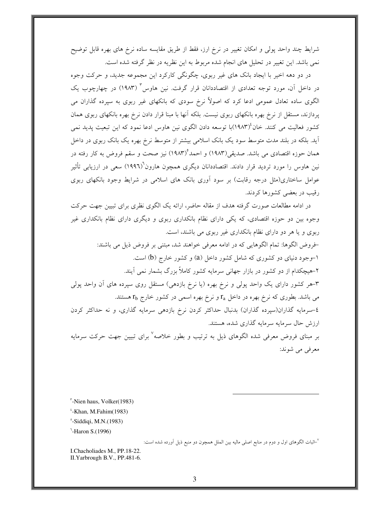شرایط چند واحد پولی و امکان تغییر در نرخ ارز، فقط از طریق مقایسه ساده نرخ های بهره قابل توضیح نمی باشد. این تغییر در تحلیل های انجام شده مربوط به این نظریه در نظر گرفته شده است.

در دو دهه اخیر با ایجاد بانک های غیر ربوی، چگونگی کارکرد این مجموعه جدید، و حرکت وجوه در داخل آن، مورد توجه تعدادی از اقتصاددانان قرار گرفت. نین هاوس " (۱۹۸۳) در چهارچوب یک الگوی ساده تعادل عمومی ادعا کرد که اصولاً نرخ سودی که بانکهای غیر ربوی به سپرده گذاران می پردازند، مستقل از نرخ بهره بانکهای ربوی نیست. بلکه آنها با مبنا قرار دادن نرخ بهره بانکهای ربوی همان کشور فعالیت می کنند. خان<sup>۱</sup>(۱۹۸۳)با توسعه دادن الگوی نین هاوس ادعا نمود که این تبعیت پدید نمی آید. بلکه در بلند مدت متوسط سود یک بانک اسلامی بیشتر از متوسط نرخ بهره یک بانک ربوی در داخل همان حوزه اقتصادی می باشد. صدیقی(۱۹۸۳) و احمد°(۱۹۸۳) نیز صحت و سقم فروض به کار رفته در نین هاوس را مورد تردید قرار دادند. اقتصاددانان دیگری همچون هارون<sup>\</sup>(١٩٩٦) سعی در ارزیابی تأثیر عوامل ساختاری(مثل درجه رقابت) بر سود آوری بانک های اسلامی در شرایط وجود بانکهای ربوی رقیب در بعضی کشورها کردند.

در ادامه مطالعات صورت گرفته هدف از مقاله حاضر، ارائه یک الگوی نظری برای تبیین جهت حرکت وجوه بین دو حوزه اقتصادی، که یکی دارای نظام بانکداری ربوی و دیگری دارای نظام بانکداری غیر ربوی و یا هر دو دارای نظام بانکداری غیر ربوی می باشند، است. خروض الگوها: تمام الگوهایی که در ادامه معرفی خواهند شد، مبتنی بر فروض ذیل می باشند: ۱–وجود دنیای دو کشوری که شامل کشور داخل (a) و کشور خارج (b) است. ۲-هیچکدام از دو کشور در بازار جهانی سرمایه کشور کاملاً بزرگ بشمار نمی آیند. ۳-هر کشور دارای یک واحد پولی و نرخ بهره (یا نرخ بازدهی) مستقل روی سپرده های آن واحد پولی می باشد. بطوری که نرخ بهره در داخل  $r_{\rm a}$  و نرخ بهره اسمی در کشور خارج  $r_{\rm b}$  هستند. ٤-سرمايه گذاران(سيرده گذاران) بدنبال حداكثر كردن نرخ بازدهي سرمايه گذاري، و نه حداكثر كردن ارزش حال سرمایه سرمایه گذاری شده، هستند. بر مبنای فروض معرفی شده الگوهای ذیل به ترتیب و بطور خلاصه<sup>۷</sup> برای تبیین جهت حرکت سرمایه معرفی می شوند:

<sup>7</sup>–اثبات الگوهای اول و دوم در منابع اصلی مالیه بین الملل همچون دو منبع ذیل آورده شده است:

I.Chacholiades M., PP.18-22. II.Yarbrough B.V., PP.481-6.

<sup>&</sup>quot;-Nien haus, Volker(1983)

 $i$ -Khan, M.Fahim $(1983)$ 

 $^{\circ}$ -Siddiqi, M.N.(1983)

 $^1$ -Haron S.(1996)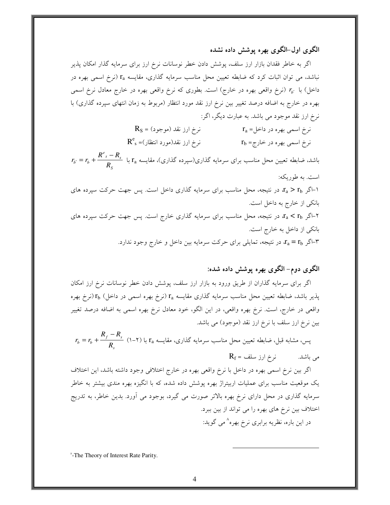الگوی اول–الگوی بهره یوشش داده نشده

اگر به خاطر فقدان بازار ارز سلف، پوشش دادن خطر نوسانات نرخ ارز برای سرمایه گذار امکان پذیر نباشد، می توان اثبات کرد که ضابطه تعیین محل مناسب سرمایه گذاری، مقایسه r (نرخ اسمی بهره در داخل) با  $r_{b'}$  (نرخ واقعی بهره در خارج) است. بطوری که نرخ واقعی بهره در خارج معادل نرخ اسمی بهره در خارج به اضافه درصد تغییر بین نرخ ارز نقد مورد انتظار (مربوط به زمان انتهای سپرده گذاری) با نرخ ارز نقد موجود می باشد. به عبارت دیگر، اگر:

> $R_S = (s_{0.4} + s_{0.4})$ نرخ ارز نقد (موجود  $r_a =$ نرخ اسمی بهره در داخل  $R^e_{s} = ($ نرخ ارز نقد(مورد انتظار)  $r_{\rm b}$  نرخ اسمی بهره در خارج

 $r_{b'} = r_b + \dfrac{R^{e}{s} - R_s}{R}$  باشد، ضابطه تعیین محل مناسب برای سرمایه گذاری(سپرده گذاری)، مقایسه  $r_{\rm a}$  با است. به طوریکه:

اگر  $r_{\rm a} > r_{\rm b}$  در نتیجه، محل مناسب برای سرمایه گذاری داخل است. پس جهت حرکت سپرده های بانکی از خارج به داخل است. اگر  $r_{\rm a} < r_{\rm b}$  در نتیجه، محل مناسب برای سرمایه گذاری خارج است. پس جهت حرکت سپرده های F بانکی از داخل به خارج است. در نتیجه، تمایلی برای حرکت سرمایه بین داخل و خارج وجود ندارد.  $x_{\rm a} = {\rm r}_{\rm b}$  اگر  $+$ 

### الگوی دوم- الگوی بهره پوشش داده شده:

اگر برای سرمایه گذاران از طریق ورود به بازار ارز سلف، پوشش دادن خطر نوسانات نرخ ارز امکان پذیر باشد، ضابطه تعیین محل مناسب سرمایه گذاری مقایسه  $\rm r_a$  (نرخ بهره اسمی در داخل)  $\rm r_b$  (نرخ بهره واقعی در خارج، است. نرخ بهره واقعی، در این الگو، خود معادل نرخ بهره اسمی به اضافه درصد تغییر بین نرخ ارز سلف با نرخ ارز نقد (موجود) می باشد.

$$
r_b = r_b + \frac{R_f - R_s}{R_s}
$$
 (1–1) y  $r_a$  مقایسه گذاری، مقایسه با (1–1) بی، مشابه قبل، فباره 5  
2. می باشل.  
4- باشل.

اگر بین نرخ اسمی بهره در داخل با نرخ واقعی بهره در خارج اختلافی وجود داشته باشد، این اختلاف یک موقعیت مناسب برای عملیات اربیتراژ بهره پوشش داده شده، که با انگیزه بهره مندی بیشتر به خاطر سرمایه گذاری در محل دارای نرخ بهره بالاتر صورت می گیرد، بوجود می آورد. بدین خاطر، به تدریج اختلاف بین نرخ های بهره را می تواند از بین ببرد. در این باره، نظریه برابری نرخ بهره^می گوید:

<sup>^</sup>-The Theory of Interest Rate Parity.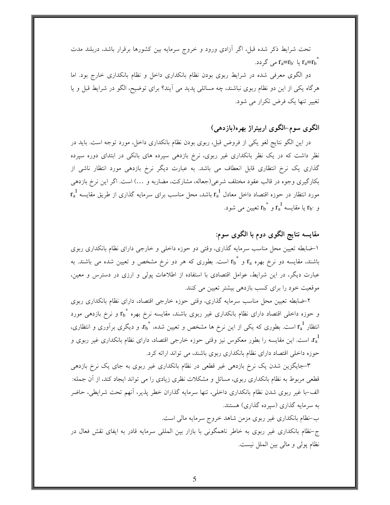تحت شرایط ذکر شده قبل، اگر أزادی ورود و خروج سرمایه بین کشورها برقرار باشد، دربلند مدت یا  $r_a=r_b$ ہی گردد.  $r_a=r_b^{-1}$ 

دو الگوی معرفی شده در شرایط ربوی بودن نظام بانکداری داخل و نظام بانکداری خارج بود. اما هرگاه یکی از این دو نظام ربوی نباشند، چه مسائلی پدید می آیند؟ برای توضیح، الگو در شرایط قبل و یا تغییر تنها یک فرض تکرار می شود.

## الگوی سوم-الگوی اربیتراژ بهره(بازدهی)

در این الگو نتایج لغو یکی از فروض قبل، ربوی بودن نظام بانکداری داخل، مورد توجه است. باید در نظر داشت که در یک نظر بانکداری غیر ربوی، نرخ بازدهی سپرده های بانکی در ابتدای دوره سپرده گذاری یک نرخ انتظاری قابل انعطاف می باشد. به عبارت دیگر نرخ بازدهی مورد انتظار ناشی از بکارگیری وجوه در قالب عقود مختلف شرعی(جعاله، مشارکت، مضاربه و …) است. اگر این نرخ بازدهی  $\rm\,r_a^{\,I}$  مورد انتظار در حوزه اقتصاد داخل معادل  $\rm\,r_a^{\,I}$  باشد، محل مناسب برای سرمایه گذاری از طریق مقایسه و `r، يا مقايسه  $r_{\rm a}^{\rm I}$  و  $r_{\rm b}^{\rm I}$  تعيين مي شود.  $r_{\rm b}$ 

## مقایسه نتایج الگوی دوم با الگوی سوم:

۱–ضابطه تعیین محل مناسب سرمایه گذاری، وقتی دو حوزه داخلی و خارجی دارای نظام بانکداری ربوی باشند، مقایسه دو نرخ بهره  ${\rm r_a}$  و  ${\rm r_b}^*$  است. بطوری که هر دو نرخ مشخص و تعیین شده می باشند. به عبارت دیگر، در این شرایط، عوامل اقتصادی با استفاده از اطلاعات پولی و ارزی در دسترس و معین، موقعیت خود را برای کسب بازدهی بیشتر تعیین می کنند.

۲–ضابطه تعیین محل مناسب سرمایه گذاری، وقتی حوزه خارجی اقتصاد، دارای نظام بانکداری ربوی و حوزه داخلی اقتصاد دارای نظام بانکداری غیر ربوی باشند، مقایسه نرخ بهره \*r و نرخ بازدهی مورد انتظار  ${\rm r_a}^{\rm I}$  است. بطوری که یکی از این نرخ ها مشخص و تعیین شده،  ${\rm r_b}^*$  و دیگری برآوری و انتظاری، ، است. این مقایسه را بطور معکوس نیز وقتی حوزه خارجی اقتصاد، دارای نظام بانکداری غیر ربوی و  $\mathfrak{c}_a^1$ حوزه داخلی اقتصاد دارای نظام بانکداری ربوی باشند، می تواند ارائه کرد.

۳–جایگزین شدن یک نرخ بازدهی غیر قطعی در نظام بانکداری غیر ربوی به جای یک نرخ بازدهی قطعی مربوط به نظام بانکداری ربوی، مسائل و مشکلات نظری زیادی را می تواند ایجاد کند، از آن جمله: الف–با غير ربوي شدن نظام بانكداري داخلي، تنها سرمايه گذاران خطر پذير، آنهم تحت شرايطي، حاضر به سرمایه گذاری (سیرده گذاری) هستند.

ب-نظام بانکداری غیر ربوی مزمن شاهد خروج سرمایه مالی است.

ج-نظام بانکداری غیر ربوی به خاطر ناهمگونی با بازار بین المللی سرمایه قادر به ایفای نقش فعال در نظام پولی و مالی بین الملل نیست.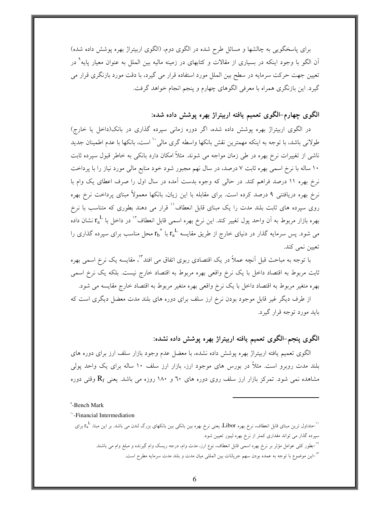برای پاسخگویی به چالشها و مسائل طرح شده در الگوی دوم، (الگوی اربیتراژ بهره پوشش داده شده) اّن الگو با وجود اینکه در بسیاری از مقالات و کتابهای در زمینه مالیه بین الملل به عنوان معیار پایه<sup>٬</sup> در تعیین جهت حرکت سرمایه در سطح بین الملل مورد استفاده قرار می گیرد، با دقت مورد بازنگری قرار می گیرد. این بازنگری همراه با معرفی الگوهای چهارم و پنجم انجام خواهد گرفت.

## الگوی چهارم-الگوی تعمیم یافته اربیتراژ بهره پوشش داده شده:

در الگوی اربیتراژ بهره پوشش داده شده، اگر دوره زمانی سپرده گذاری در بانک(داخل یا خارج) طولانی باشد، با توجه به اینکه مهمترین نقش بانکها واسطه گری مالی `` است، بانکها با عدم اطمینان جدید ناشی از تغییرات نرخ بهره در طی زمان مواجه می شوند. مثلاً امکان دارد بانکی به خاطر قبول سپرده ثابت ۱۰ ساله با نرخ اسمی بهره ثابت ۷ درصد، در سال نهم مجبور شود خود منابع مالی مورد نیاز را با پرداخت نرخ بهره ۱۱ درصد فراهم کند. در حالی که وجوه بدست آمده در سال اول را صرف اعطای یک وام با نرخ بهره دریافتنی ۹ درصد کرده است. برای مقابله با این زیان، بانکها معمولاً مبنای پرداخت نرخ بهره روی سپرده های ثابت بلند مدت را یک مبنای قابل انعطاف'' قرار می دهند بطوری که متناسب با نرخ بهره بازار مربوط به آن واحد پول تغییر کند. این نرخ بهره اسمی قابل انعطاف ٌ ٰ در داخل با  ${\rm r_a}^{\rm L}$  نشان داده می شود. پس سرمایه گذار در دنیای خارج از طریق مقایسه  ${\rm r_a}^{\rm L}$  با  ${\rm r_a}^{\rm L}$  محل مناسب برای سپرده گذاری را تعيين نمي كند.

با توجه به مباحث قبل اَنچه عملاً در یک اقتصادی ربوی اتفاق می افتد ٌ'ْ، مقایسه یک نرخ اسمی بهره ثابت مربوط به اقتصاد داخل با یک نرخ واقعی بهره مربوط به اقتصاد خارج نیست. بلکه یک نرخ اسمی بهره متغیر مربوط به اقتصاد داخل با یک نرخ واقعی بهره متغیر مربوط به اقتصاد خارج مقایسه می شود.

از طرف دیگر غیر قابل موجود بودن نرخ ارز سلف برای دوره های بلند مدت معضل دیگری است که باید مورد توجه قرار گیرد.

### الگوی پنجم-الگوی تعمیم یافته اربیتراژ بهره پوشش داده نشده:

الگوی تعمیم یافته اربیتراژ بهره پوشش داده نشده، با معضل عدم وجود بازار سلف ارز برای دوره های بلند مدت روبرو است. مثلاً در بورس های موجود ارز، بازار ارز سلف ۱۰ ساله برای یک واحد یولی مشاهده نمی شود. تمرکز بازار ارز سلف روی دوره های ٦٠ و ١٨٠ روزه می باشد. یعنی  $\rm R_{f}$  وقتی دوره

"-Financial Intermediation

<sup>۱</sup>'—بطور کلی عوامل مؤثر بر نرخ بهره اسمی قابل انعطاف، نوع ارز، مدت وام، درجه ریسک وام گیرنده و مبلغ وام می باشند. <sup>۱۳</sup>-این موضوع با توجه به عمده بودن سهم جریانات بین المللی میان مدت و بلند مدت سرمایه مطرح است.

<sup>&</sup>lt;sup>4</sup>-Bench Mark

<sup>&#</sup>x27;<sup>'ا</sup>حتداول ترین مبنای قابل انعطاف، نرخ بهره Libor یعنی نرخ بهره بین بانکی بین بانکهای بزرگ لندن می باشد. بر این مبنا، <sub>r</sub>r L برای سیرده گذار می تواند مقداری کمتر از نرخ بهره لیبور تعیین شود.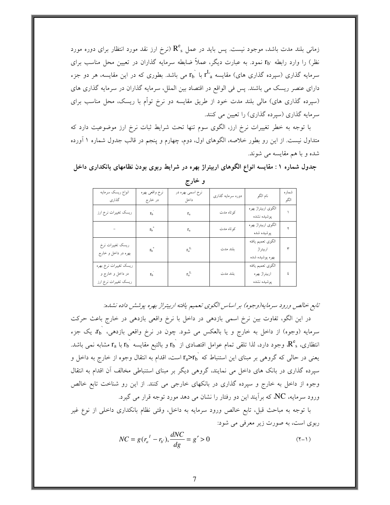زمانی بلند مدت باشد، موجود نیست. پس باید در عمل  $\mathrm{R}^\mathrm{e}_{\ s}$  (نرخ ارز نقد مورد انتظار برای دوره مورد نظر) را وارد رابطه ۲b٬ نمود. به عبارت دیگر، عملاً ضابطه سرمایه گذاران در تعیین محل مناسب برای سرمایه گذاری (سپرده گذاری های) مقایسه  $\rm r_{a}^L$  با  $\rm r_{b}^L$  می باشد. بطوری که در این مقایسه، هر دو جزء دارای عنصر ریسک می باشند. پس فی الواقع در اقتصاد بین الملل، سرمایه گذاران در سرمایه گذاری های (سپرده گذاری های) مالی بلند مدت خود از طریق مقایسه دو نرخ توأم با ریسک، محل مناسب برای سرمایه گذاری (سپرده گذاری) را تعیین می کنند.

با توجه به خطر تغییرات نرخ ارز، الگوی سوم تنها تحت شرایط ثبات نرخ ارز موضوعیت دارد که متداول نیست. از این رو بطور خلاصه، الگوهای اول، دوم، چهارم و پنجم در قالب جدول شماره ۱ آورده شده و با هم مقایسه می شوند.

جدول شماره ۱ : مقایسه انواع الگوهای اربیتراژ بهره در شرایط ربوی بودن نظامهای بانکداری داخل

| انواع ريسك سرمايه<br>گذاری                                        | نرخ واقعى بهره<br>در خارج | نرخ اسمي بهره در<br>داخل | دوره سرمایه گذاری | نام الگو                                          | شماره<br>الگو |
|-------------------------------------------------------------------|---------------------------|--------------------------|-------------------|---------------------------------------------------|---------------|
| ریسک تغییرات نرخ ارز                                              | $r_{\rm b}$               | $r_{a}$                  | كوتاه مدت         | الگوى اربيتراژ بهره<br>پوشيده نشده                |               |
|                                                                   | $r_{h}$                   | $r_{a}$                  | كوتاه مدت         | الگوي اربيتراژ بهره<br>پوشيده شده                 |               |
| ريسك تغييرات نرخ<br>بهره در داخل و خارج                           | r <sub>b</sub>            | $r_a^{\ L}$              | بلند مدت          | الگوي تعميم يافته<br>اربيتراژ<br>بهره پوشيده شده  | ٣             |
| ريسك تغييرات نرخ بهره<br>در داخل و خارج و<br>ریسک تغییرات نرخ ارز | r <sub>b</sub>            | $r_a^{\ L}$              | بلند مدت          | الگوى تعميم يافته<br>اربيتراژ بهره<br>پوشيده نشده | ٤             |

و خارج

تابع خالص ورود سرمايه(وجوه) بر اساس الگوى تعميم يافته اربيتراژ بهره پوشش داده نشده:

در این الگو، تفاوت بین نرخ اسمی بازدهی در داخل با نرخ واقعی بازدهی در خارج باعث حرکت سرمایه (وجوه) از داخل به خارج و یا بالعکس می شود. چون در نرخ واقعی بازدهی، `tb یک جزء انتظاری، R $^{\rm e}$  وجود دارد، لذا تلقی تمام عوامل اقتصادی از  $\rm r_{b}$  و بالتبع مقایسه  $\rm r_{a}$  با  $\rm r_{a}$  مشابه نمی باشد. یعنی در حالی که گروهی بر مبنای این استنباط که  $\rm r_a\rm{>}$  است، اقدام به انتقال وجوه از خارج به داخل و سپرده گذاری در بانک های داخل می نمایند، گروهی دیگر بر مبنای استنباطی مخالف آن اقدام به انتقال وجوه از داخل به خارج و سیرده گذاری در بانکهای خارجی می کنند. از این رو شناخت تابع خالص ورود سرمایه، NC، که برآیند این دو رفتار را نشان می دهد مورد توجه قرار می گیرد.

با توجه به مباحث قبل، تابع خالص ورود سرمايه به داخل، وقتى نظام بانكدارى داخلى از نوع غير ربوي است، به صورت زير معرفي مي شود:

$$
NC = g(r_a^1 - r_b), \frac{dNC}{dg} = g' > 0
$$
 (7-1)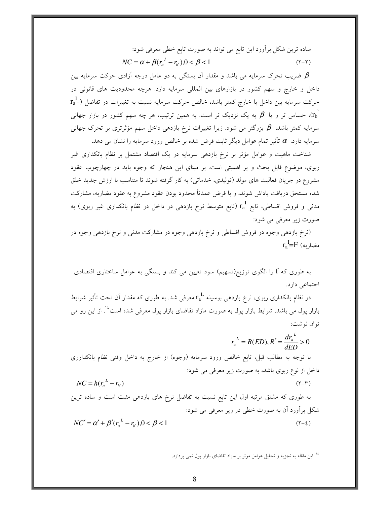ساده ترین شکل برأورد این تابع می تواند به صورت تابع خطی معرفی شود:  $NC = \alpha + \beta (r_a^1 - r_b), 0 < \beta < 1$  $(Y - Y)$ 

ضریب تحرک سرمایه می باشد و مقدار آن بستگی به دو عامل درجه آزادی حرکت سرمایه بین  $\beta$ داخل و خارج و سهم کشور در بازارهای بین المللی سرمایه دارد. هرچه محدودیت های قانونی در  ${\rm r}_{\rm a}^{\ \perp}$ ) حرکت سرمایه بین داخل با خارج کمتر باشد، خالص حرکت سرمایه نسبت به تغییرات در تفاضل به یک نزدیک تر است. به همین ترتیب، هر چه سهم کشور در بازار جهانی ( $r_{\rm b}$ سرمایه کمتر باشد،  $\beta$  بزرگتر می شود. زیرا تغییرات نرخ بازدهی داخل سهم مؤثرتری بر تحرک جهانی سرمایه دارد.  $\alpha$  تأثیر تمام عوامل دیگر ثابت فرض شده بر خالص ورود سرمایه را نشان می دهد.

شناخت ماهیت و عوامل مؤثر بر نرخ بازدهی سرمایه در یک اقتصاد مشتمل بر نظام بانکداری غیر ربوی، موضوع قابل بحث و پر اهمیتی است. بر مبنای این هنجار که وجوه باید در چهارچوب عقود مشروع در جریان فعالیت های مولد (تولیدی، خدماتی) به کار گرفته شوند تا متناسب با ارزش جدید خلق شده مستحق دریافت پاداش شوند، و با فرض عمدتاً محدود بودن عقود مشروع به عقود مضاربه، مشارکت مدنی و فروش اقساطی، تابع ra (تابع متوسط نرخ بازدهی در داخل در نظام بانکداری غیر ربوی) به صورت زیر معرفی می شود:

(نرخ بازدهی وجوه در فروش اقساطی و نرخ بازدهی وجوه در مشارکت مدنی و نرخ بازدهی وجوه در  $r_a = F(\omega)$ مضاریه

به طوری که f را الگوی توزیع(تسهیم) سود تعیین می کند و بستگی به عوامل ساختاری اقتصادی– اجتماعی دارد.

در نظام بانکداری ربوی، نرخ بازدهی بوسیله  ${\rm r_a}^{\rm L}$  معرفی شد. به طوری که مقدار آن تحت تأثیر شرایط بازار پول می باشد. شرایط بازار پول به صورت مازاد تقاضای بازار پول معرفی شده است<sup>1</sup>ٔ. از این رو می توان نوشت:

$$
r_a^L = R(ED), R' = \frac{dr_a^L}{dED} > 0
$$
با توجه به دانخل وقتی نظام بانکدارری  
با توجه به مطالب قبل، تابع خالص ورود سرمایه (وجوه) از خارج به دانخل وقتی نظام بانکدارری  
داخل از نوع ربوی باشد، به صورت زیر معرفی می شود:  
NC = h(r<sup>L</sup> – r.)

به طوری که مشتق مرتبه اول این تابع نسبت به تفاضل نرخ های بازدهی مثبت است و ساده ترین شکل برآورد آن به صورت خطی در زیر معرفی می شود:

$$
NC' = \alpha' + \beta' (r_a^{\ \ L} - r_{b'}) , 0 < \beta < 1 \tag{7-1}
$$

<sup>&</sup>lt;sup>16</sup>–این مقاله به تجزیه و تحلیل عوامل موثر بر مازاد تقاضای بازار یول نمی پردازد.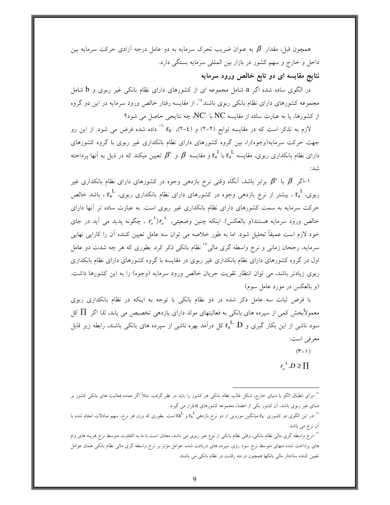همچون قبل، مقدار  $\,\,\beta\,\,$  به عنوان ضریب تحرک سرمایه به دو عامل درجه آزادی حرکت سرمایه بین داخل و خارج و سهم کشور در بازار بین المللی سرمایه بستگی دارد.

نتایج مقایسه ای دو تابع خالص ورود سرمایه

در الگوی ساده شده اگر a شامل مجموعه ای از کشورهای دارای نظام بانکی غیر ربوی و b شامل مجموعه کشورهای دارای نظام بانکی ربوی باشند°<sup>۱</sup>، از مقایسه رفتار خالص ورود سرمایه در این دو گروه از کشورها، یا به عبارت ساده از مقایسه NC با NC، چه نتایجی حاصل می شود؟

لازم به تذکر است که در مقایسه توابع (۲–۲) و (٤–۲)، °۲<sub>۵</sub> <sup>۱۶</sup> داده شده فرض می شود. از این رو جهت حرکت سرمایه(وجوه)را، بین گروه کشورهای دارای نظام بانکداری غیر ربوی با گروه کشورهای دارای نظام بانکداری ربوی، مقایسه  $\mathrm{r_{a}{}^{L}}$  با  $\mathrm{r_{a}{}^{L}}$  و مقایسه  $\beta$  و  $\beta$  تعیین میکند که در ذیل به آنها پرداخته شد:

ا–اگر  $\beta$  با  $\beta'$  برابر باشد، آنگاه وقتی نرخ بازدهی وجوه در کشورهای دارای نظام بانکداری غیر $\beta$ ربوی،  $\rm r_a^{\rm I}$ ، بیشتر از نرخ بازدهی وجوه در کشورهای دارای نظام بانکداری ربوی،  $\rm r_a^{\rm L}$ ، باشد خالص حرکت سرمایه به سمت کشورهای دارای نظام بانکداری غیر ربوی است. به عبارت ساده تر آنها دارای خالص ورود سرمایه هستند(و بالعکس). اینکه چنین وضعیتی،  $r_a^{\;I}\rangle r_a^{\;L}$  ، چگونه پدید می آید در جای خود لازم است عمیقاً تحلیل شود. اما به طور خلاصه می توان سه عامل تعیین کننده آن را کارایی نهایی سرمایه، رجحان زمانی و نرخ واسطه گری مال<sub>ی</sub>'' نظام بانکی ذکر کرد. بطوری که هر چه شدت دو عامل اول در گروه کشورهای دارای نظام بانکداری غیر ربوی در مقایسه با گروه کشورهای دارای نظام بانکداری ربوی زیادتر باشد، می توان انتظار تقویت جریان خالص ورود سرمایه (وجوه) را به این کشورها داشت. (و بالعکس در مورد عامل سوم)

با فرض ثبات سه عامل ذکر شده در دو نظام بانکی با توجه به اینکه در نظام بانکداری ربوی معمولاًبخش کمی از سپرده های بانکی به فعالیتهای مولد دارای بازدهی تخصیص می یابد، لذا اگر ∏کل سود ناشی از این بکار گیری و  $\rm r_a^{\,L}$  کل درآمد بهره ناشی از سپرده های بانکی باشند، رابطه زیر قابل معرفي است:

> $(\Upsilon - \Upsilon)$  $r_{\scriptscriptstyle a}^{\scriptscriptstyle L}$ . $D \geq \prod$

<sup>&</sup>lt;sup>1</sup>°–برای انطباق الگو با دنیای خارج، شکل غالب نظام بانکی هر کشور را باید در نظر گرفت. مثلاً اگر عمده فعالیت های بانکی کشور بر مبنای غیر ربوی باشد، آن کشور یکی از اعضاء مجموعه کشورهای a قرار می گیرد.

در این الگوی دو کشوری ۲b۰ میانگین موزونی از دو نرخ بازدهی  ${\rm r_{b}}^{\rm I}$  و  ${\rm r_{b}}^{\rm L}$ است. بطوری که وزن هر نرخ، سهم مبادلات انجام شده با $^{\rm V}$ آن نرخ می باشد.

<sup>&</sup>lt;sup>۷۷</sup>–نرخ واسطه گری مالی نظام بانکی، وقتی نظام بانکی از نوع غیر ربوی می باشد، معادل است با ما به التفاوت متوسط نرخ هزینه های وام های پرداخت شده منهای متوسط نرخ سود روی سپرده های دریافت شده. عوامل مؤثر بر نرخ واسطه گری مالی نظام بانکی همان عوامل تعیین کننده ساختار مالی بانکها همچون درجه رقابت در نظام بانکی می باشند.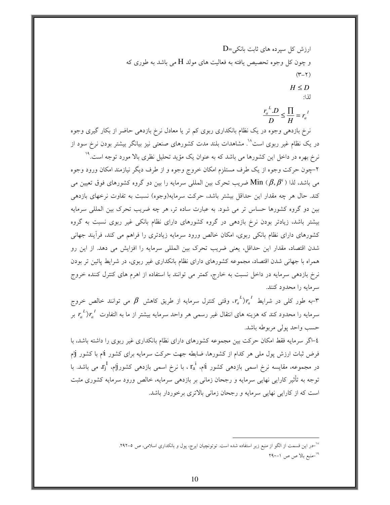ارزش کل سپرده های ثابت بانکی=D  
و چون کل وجود تحصیص یافته به فعالتت های مولد H می باشد به طوری که  
(۳–۲)  
ان::  

$$
H \le D
$$
  
ان:  

$$
\frac{r_a^L.D}{D} \le \frac{\prod}{H} = r_a^{\ l}
$$

نرخ بازدهی وجوه در یک نظام بانکداری ربوی کم تر یا معادل نرخ بازدهی حاضر از بکار گیری وجوه در یک نظام غیر ربوی است^` مشاهدات بلند مدت کشورهای صنعتی نیز بیانگر بیشتر بودن نرخ سود از نرخ بهره در داخل این کشورها می باشد که به عنوان یک مؤید تحلیل نظری بالا مورد توجه است.<sup>۱۹</sup>

۲–چون حرکت وجوه از یک طرف مستلزم امکان خروج وجوه و از طرف دیگر نیازمند امکان ورود وجوه می باشد، لذا ( Min ( $\beta,\beta^\iota$  ضریب تحرک بین المللی سرمایه را بین دو گروه کشورهای فوق تعیین می کند. حال هر چه مقدار این حداقل بیشتر باشد، حرکت سرمایه(وجوه) نسبت به تفاوت نرخهای بازدهی بین دو گروه کشورها حساس تر می شود. به عبارت ساده تر، هر چه ضریب تحرک بین المللی سرمایه بیشتر باشد، زیادتر بودن نرخ بازدهی در گروه کشورهای دارای نظام بانکی غیر ربوی نسبت به گروه کشورهای دارای نظام بانکی ربوی، امکان خالص ورود سرمایه زیادتری را فراهم می کند، فرآیند جهانی شدن اقتصاد، مقدار این حداقل، یعنی ضریب تحرک بین المللی سرمایه را افزایش می دهد. از این رو همراه با جهانی شدن اقتصاد، مجموعه کشورهای دارای نظام بانکداری غیر ربوی، در شرایط پائین تر بودن نرخ بازدهی سرمایه در داخل نسبت به خارج، کمتر می توانند با استفاده از اهرم های کنترل کننده خروج سرمايه را محدود كنند.

به طور کلی در شرایط  $r_a{}^L$ ، وقتی کنترل سرمایه از طریق کاهش  $\beta$  می توانند خالص خروج $r$ سرمایه را محدود کند که هزینه های انتقال غیر رسمی هر واحد سرمایه بیشتر از ما به التفاوت  $r_a^{\; \; I}$  بر حسب واحد پولي مربوطه باشد.

٤–اگر سرمايه فقط امكان حركت بين مجموعه كشورهاي داراي نظام بانكداري غير ربوي را داشته باشد، با فرض ثبات ارزش پول مل<sub>ی</sub> هر کدام از کشورها، ضابطه جهت حرکت سرمایه برای کشور ilم با کشور j در مجموعه، مقایسه نرخ اسمی بازدهی کشور rå ، با نرخ اسمی بازدهی کشور $\rm r_i^I$  می باشد. با توجه به تأثیر کارایی نهایی سرمایه و رجحان زمانی بر بازدهی سرمایه، خالص ورود سرمایه کشوری مثبت است که از کارایی نهایی سرمایه و رجحان زمانی بالاتری برخوردار باشد.

<sup>&</sup>lt;sup>۱۸</sup>-در این قسمت از الگو از منبع زیر استفاده شده است. توتونچیان ایرج، پول و بانکداری اسلامی، ص 0-۲۹۲. <sup>۱۹</sup>-منبع بالا ص ص ۱-۲۹۰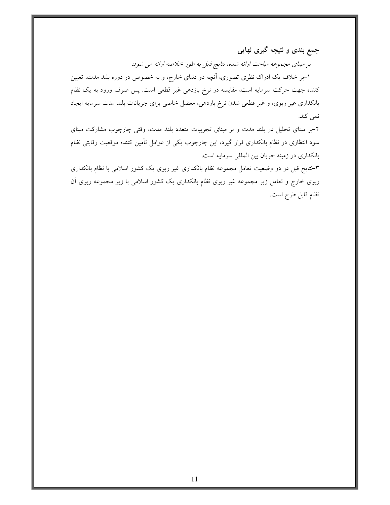جمع بندی و نتیجه گیری نهایی

بر مبنای مجموعه مباحث ارائه شده، نتایج ذیل به طور خلاصه ارائه می شود:

۱–بر خلاف یک ادراک نظری تصوری، آنچه دو دنیای خارج، و به خصوص در دوره بلند مدت، تعیین کننده جهت حرکت سرمایه است، مقایسه در نرخ بازدهی غیر قطعی است. پس صرف ورود به یک نظام بانکداری غیر ربوی، و غیر قطعی شدن نرخ بازدهی، معضل خاصی برای جریانات بلند مدت سرمایه ایجاد نمي كند.

۲-بر مبنای تحلیل در بلند مدت و بر مبنای تجربیات متعدد بلند مدت، وقتی چارچوب مشارکت مبنای سود انتظاری در نظام بانکداری قرار گیرد، این چارچوب یکی از عوامل تأمین کننده موقعیت رقابتی نظام بانکداری در زمینه جریان بین المللی سرمایه است.

۳–نتایج قبل در دو وضعیت تعامل مجموعه نظام بانکداری غیر ربوی یک کشور اسلامی با نظام بانکداری ربوی خارج و تعامل زیر مجموعه غیر ربوی نظام بانکداری یک کشور اسلامی با زیر مجموعه ربوی آن نظام قابل طرح است.